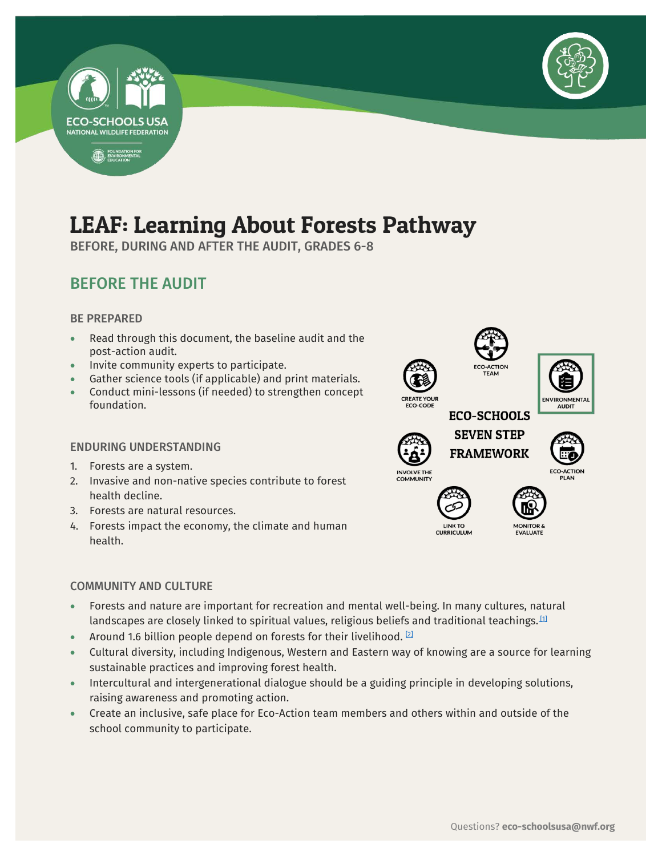



# LEAF: Learning About Forests Pathway

BEFORE, DURING AND AFTER THE AUDIT, GRADES 6-8

## BEFORE THE AUDIT

#### BE PREPARED

- Read through this document, the baseline audit and the post-action audit.
- Invite community experts to participate.
- Gather science tools (if applicable) and print materials.
- Conduct mini-lessons (if needed) to strengthen concept foundation.

#### ENDURING UNDERSTANDING

- 1. Forests are a system.
- 2. Invasive and non-native species contribute to forest health decline.
- 3. Forests are natural resources.
- 4. Forests impact the economy, the climate and human health.

#### COMMUNITY AND CULTURE

- Forests and nature are important for recreation and mental well-being. In many cultures, natural landscapes are closely linked to spiritual values, religious beliefs and traditional teachings. $^{\text{11}}$
- Around 1.6 billion people depend on forests for their livelihood.  $[2]$
- Cultural diversity, including Indigenous, Western and Eastern way of knowing are a source for learning sustainable practices and improving forest health.
- Intercultural and intergenerational dialogue should be a guiding principle in developing solutions, raising awareness and promoting action.
- Create an inclusive, safe place for Eco-Action team members and others within and outside of the school community to participate.

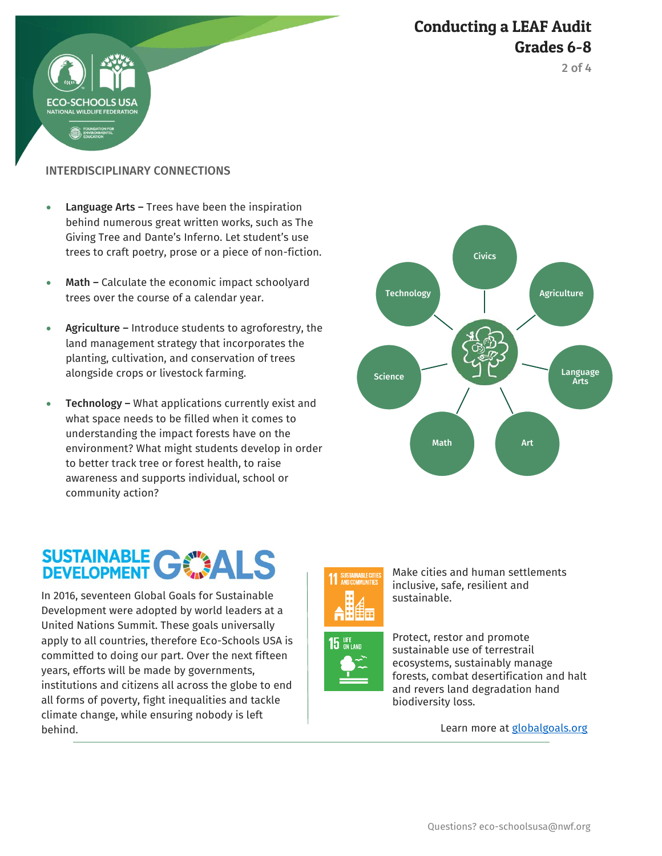



INTERDISCIPLINARY CONNECTIONS

HOOLS US

- Language Arts Trees have been the inspiration behind numerous great written works, such as The Giving Tree and Dante's Inferno. Let student's use trees to craft poetry, prose or a piece of non-fiction.
- Math Calculate the economic impact schoolyard trees over the course of a calendar year.
- Agriculture Introduce students to agroforestry, the land management strategy that incorporates the planting, cultivation, and conservation of trees alongside crops or livestock farming.
- **Technology –** What applications currently exist and what space needs to be filled when it comes to understanding the impact forests have on the environment? What might students develop in order to better track tree or forest health, to raise awareness and supports individual, school or community action?

# **SUSTAINABLE GWALS**

 In 2016, seventeen Global Goals for Sustainable Development were adopted by world leaders at a United Nations Summit. These goals universally apply to all countries, therefore Eco-Schools USA is committed to doing our part. Over the next fifteen years, efforts will be made by governments, institutions and citizens all across the globe to end all forms of poverty, fight inequalities and tackle climate change, while ensuring nobody is left behind.





Make cities and human settlements inclusive, safe, resilient and sustainable.



Protect, restor and promote sustainable use of terrestrail ecosystems, sustainably manage forests, combat desertification and halt and revers land degradation hand biodiversity loss.

Learn more at **globalgoals.org**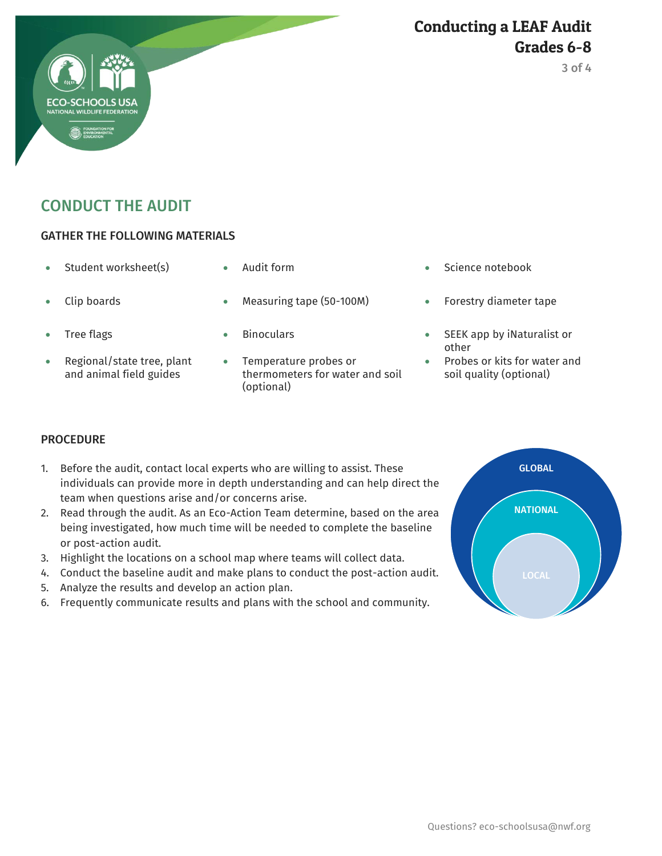### Conducting a LEAF Audit Grades 6-8

# CONDUCT THE AUDIT

#### GATHER THE FOLLOWING MATERIALS

- 
- 
- 
- Regional/state tree, plant and animal field guides
- 
- Clip boards Measuring tape (50-100M) Forestry diameter tape
	-
	- Temperature probes or thermometers for water and soil (optional)
- Student worksheet(s)  $\bullet$  Audit form  $\bullet$  Science notebook
	-
	- Tree flags Tree flags **SEEK** app by iNaturalist or other
		- Probes or kits for water and soil quality (optional)

#### **PROCEDURE**

- 1. Before the audit, contact local experts who are willing to assist. These individuals can provide more in depth understanding and can help direct the team when questions arise and/or concerns arise.
- 2. Read through the audit. As an Eco-Action Team determine, based on the area being investigated, how much time will be needed to complete the baseline or post-action audit.
- 3. Highlight the locations on a school map where teams will collect data.
- 4. Conduct the baseline audit and make plans to conduct the post-action audit.
- 5. Analyze the results and develop an action plan.
- 6. Frequently communicate results and plans with the school and community.